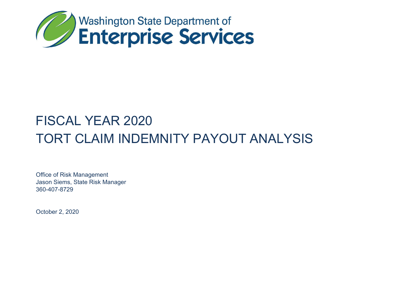

# FISCAL YEAR 2020 TORT CLAIM INDEMNITY PAYOUT ANALYSIS

Office of Risk Management Jason Siems, State Risk Manager 360-407-8729

October 2, 2020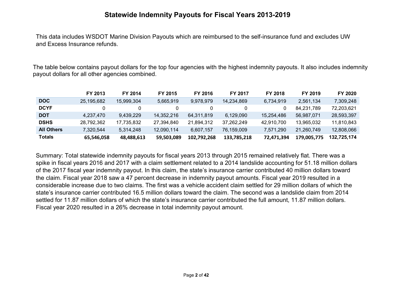## **Statewide Indemnity Payouts for Fiscal Years 2013-2019**

This data includes WSDOT Marine Division Payouts which are reimbursed to the self-insurance fund and excludes UW and Excess Insurance refunds.

The table below contains payout dollars for the top four agencies with the highest indemnity payouts. It also includes indemnity payout dollars for all other agencies combined.

|                   | FY 2013    | FY 2014    | FY 2015    | FY 2016     | <b>FY 2017</b> | FY 2018    | FY 2019     | FY 2020     |
|-------------------|------------|------------|------------|-------------|----------------|------------|-------------|-------------|
| <b>DOC</b>        | 25.195.682 | 15.999.304 | 5.665.919  | 9.978.979   | 14.234.869     | 6.734.919  | 2,561,134   | 7.309.248   |
| <b>DCYF</b>       |            |            |            |             |                |            | 84.231.789  | 72.203.621  |
| <b>DOT</b>        | 4.237.470  | 9.439.229  | 14,352,216 | 64,311,819  | 6.129.090      | 15,254,486 | 56.987.071  | 28,593,397  |
| <b>DSHS</b>       | 28,792,362 | 17,735,832 | 27.394.840 | 21.894.312  | 37,262,249     | 42,910,700 | 13,965,032  | 11,810,843  |
| <b>All Others</b> | 7.320.544  | 5.314.248  | 12,090,114 | 6.607.157   | 76.159.009     | 7,571,290  | 21.260.749  | 12,808,066  |
| <b>Totals</b>     | 65,546,058 | 48,488,613 | 59.503.089 | 102,792,268 | 133,785,218    | 72.471.394 | 179.005.775 | 132,725,174 |

Summary: Total statewide indemnity payouts for fiscal years 2013 through 2015 remained relatively flat. There was a spike in fiscal years 2016 and 2017 with a claim settlement related to a 2014 landslide accounting for 51.18 million dollars of the 2017 fiscal year indemnity payout. In this claim, the state's insurance carrier contributed 40 million dollars toward the claim. Fiscal year 2018 saw a 47 percent decrease in indemnity payout amounts. Fiscal year 2019 resulted in a considerable increase due to two claims. The first was a vehicle accident claim settled for 29 million dollars of which the state's insurance carrier contributed 16.5 million dollars toward the claim. The second was a landslide claim from 2014 settled for 11.87 million dollars of which the state's insurance carrier contributed the full amount, 11.87 million dollars. Fiscal year 2020 resulted in a 26% decrease in total indemnity payout amount.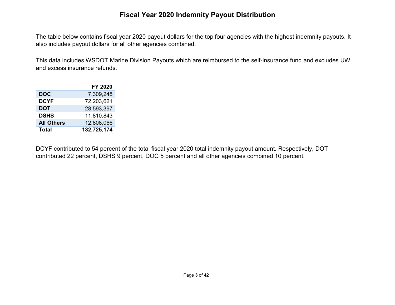## **Fiscal Year 2020 Indemnity Payout Distribution**

The table below contains fiscal year 2020 payout dollars for the top four agencies with the highest indemnity payouts. It also includes payout dollars for all other agencies combined.

This data includes WSDOT Marine Division Payouts which are reimbursed to the self-insurance fund and excludes UW and excess insurance refunds.

|                   | FY 2020     |
|-------------------|-------------|
| <b>DOC</b>        | 7,309,248   |
| DCYF              | 72,203,621  |
| DOT               | 28,593,397  |
| <b>DSHS</b>       | 11,810,843  |
| <b>All Others</b> | 12,808,066  |
| Total             | 132,725,174 |

DCYF contributed to 54 percent of the total fiscal year 2020 total indemnity payout amount. Respectively, DOT contributed 22 percent, DSHS 9 percent, DOC 5 percent and all other agencies combined 10 percent.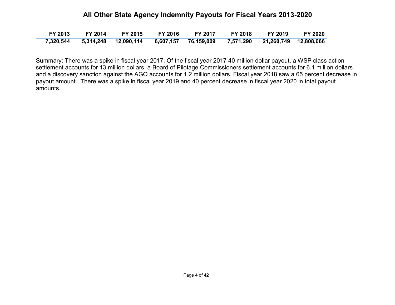#### **All Other State Agency Indemnity Payouts for Fiscal Years 2013-2020**

| FY 2013   | <b>FY 2014</b> | <b>FY 2015</b>                                                                  | FY 2016 | <b>FY 2017</b> | <b>FY 2018</b> | FY 2019 | <b>FY 2020</b> |
|-----------|----------------|---------------------------------------------------------------------------------|---------|----------------|----------------|---------|----------------|
| 7,320,544 |                | 5,314,248  12,090,114  6,607,157  76,159,009  7,571,290  21,260,749  12,808,066 |         |                |                |         |                |

Summary: There was a spike in fiscal year 2017. Of the fiscal year 2017 40 million dollar payout, a WSP class action settlement accounts for 13 million dollars, a Board of Pilotage Commissioners settlement accounts for 6.1 million dollars and a discovery sanction against the AGO accounts for 1.2 million dollars. Fiscal year 2018 saw a 65 percent decrease in payout amount. There was a spike in fiscal year 2019 and 40 percent decrease in fiscal year 2020 in total payout amounts.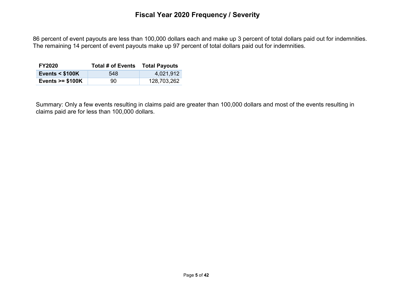86 percent of event payouts are less than 100,000 dollars each and make up 3 percent of total dollars paid out for indemnities. The remaining 14 percent of event payouts make up 97 percent of total dollars paid out for indemnities.

| <b>FY2020</b>             | Total # of Events | <b>Total Payouts</b> |
|---------------------------|-------------------|----------------------|
| <b>Events &lt; \$100K</b> | 548               | 4,021,912            |
| Events $>= $100K$         | 90.               | 128,703,262          |

Summary: Only a few events resulting in claims paid are greater than 100,000 dollars and most of the events resulting in claims paid are for less than 100,000 dollars.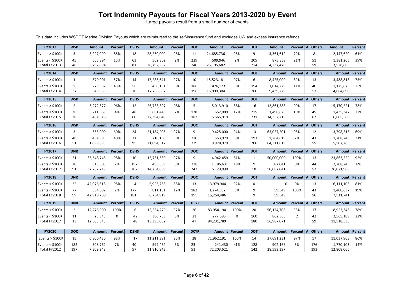# **Tort Indemnity Payouts for Fiscal Years 2013-2020 by Event**

Large payouts result from a small number of events

This data includes WSDOT Marine Division Payouts which are reimbursed to the self-insurance fund and excludes UW and excess insurance refunds.

| <b>FY2013</b>                     | <b>WSP</b>     | <b>Amount</b>        | Percent | <b>DSHS</b> | <b>Amount</b>         | Percent        | <b>DOC</b>  | <b>Amount</b>         | Percent | <b>DOT</b>  | <b>Amount</b>           |                | Percent All Others | <b>Amount</b>           | Percent |
|-----------------------------------|----------------|----------------------|---------|-------------|-----------------------|----------------|-------------|-----------------------|---------|-------------|-------------------------|----------------|--------------------|-------------------------|---------|
| Events $>$ \$100K                 | 3              | 3,227,000            | 85%     | 18          | 28,230,000            | 98%            | 11          | 24,685,736            | 98%     | 9           | 3,361,612               | 79%            | 8                  | 2,147,620               | 61%     |
| Events $<$ \$100K                 | 45             | 565.894              | 15%     | 63          | 562,362               | 2%             | 229         | 509,946               | 2%      | 205         | 875,859                 | 21%            | 51                 | 1,381,265               | 39%     |
| Total FY2013                      | 48             | 3,792,894            |         | 81          | 28,792,362            |                | 240         | 25,195,682            |         | 214         | 4,237,470               |                | 59                 | 3,528,885               |         |
| FY2014                            | <b>WSP</b>     | <b>Amount</b>        | Percent | <b>DSHS</b> | <b>Amount</b>         | <b>Percent</b> | <b>DOC</b>  | <b>Amount Percent</b> |         | <b>DOT</b>  | <b>Amount</b>           | <b>Percent</b> | <b>All Others</b>  | Amount                  | Percent |
| Events $>$ \$100K                 | $\mathbf{1}$   | 370,001              | 57%     | 14          | 17,285,641            | 97%            | 10          | 15,523,181            | 97%     | 6           | 8,425,000               | 89%            | 13                 | 3,488,818               | 75%     |
| Events $<$ \$100K                 | 36             | 279,557              | 43%     | 56          | 450,191               | 3%             | 186         | 476,123               | 3%      | 194         | 1,014,229               | 11%            | 40                 | 1,175,873               | 25%     |
| Total FY2014                      | 37             | 649.558              |         | 70          | 17,735,832            |                | 196         | 15,999,304            |         | 200         | 9,439,229               |                | 53                 | 4,664,690               |         |
| <b>FY2015</b>                     | <b>WSP</b>     | <b>Amount</b>        | Percent | <b>DSHS</b> | <b>Amount</b>         | Percent        | <b>DOC</b>  | <b>Amount Percent</b> |         | <b>DOT</b>  | Amount                  |                | Percent All Others | <b>Amount</b>           | Percent |
| Events $>$ \$100K                 | $\overline{2}$ | 5,272,877            | 96%     | 12          | 26,733,397            | 98%            | 5           | 5,013,910             | 88%     | 16          | 12,861,588              | 90%            | 17                 | 5,170,221               | 78%     |
| Events $<$ \$100K                 | 36             | 211,669              | 4%      | 48          | 661,443               | 2%             | 178         | 652,009               | 12%     | 215         | 1,490,628               | 10%            | 45                 | 1,435,347               | 22%     |
| Total FY2015                      | 38             | 5,484,546            |         | 60          | 27,394,840            |                | 183         | 5,665,919             |         | 231         | 14,352,216              |                | 62                 | 6,605,568               |         |
| <b>FY2016</b>                     | <b>WSP</b>     | <b>Amount</b>        | Percent | <b>DSHS</b> | <b>Amount</b>         | Percent        | <b>DOC</b>  | <b>Amount Percent</b> |         | <b>DOT</b>  | <b>Amount</b>           | Percent        | <b>All Others</b>  | <b>Amount</b>           | Percent |
| Events $>$ \$100K                 | 3              | 665,000              | 60%     | 24          | 21,184,206            | 97%            | 9           | 9,425,000             | 94%     | 13          | 63,027,201              | 98%            | 12                 | 3,798,515               | 69%     |
| Events $<$ \$100K<br>Total FY2016 | 48<br>51       | 434,895<br>1,099,895 | 40%     | 71<br>95    | 710,106<br>21,894,312 | 3%             | 220<br>229  | 553,979<br>9,978,979  | 6%      | 193<br>206  | 1,284,619<br>64,311,819 | 2%             | 43<br>55           | 1,708,748<br>5,507,263  | 31%     |
|                                   |                |                      |         |             |                       |                |             |                       |         |             |                         |                |                    |                         |         |
|                                   |                |                      |         |             |                       |                |             |                       |         |             |                         |                |                    |                         |         |
| FY2017                            | <b>DNR</b>     | <b>Amount</b>        | Percent | <b>DSHS</b> | <b>Amount</b>         | Percent        | <b>DOC</b>  | <b>Amount Percent</b> |         | <b>DOT</b>  | <b>Amount</b>           |                | Percent All Others | <b>Amount Percent</b>   |         |
| Events $>$ \$100K                 | 21             | 36,648,745           | 98%     | 10          | 13,751,530            | 97%            | 9           | 4,942,459             | 81%     | 1           | 50,000,000              | 100%           | 13                 | 23,863,222              | 92%     |
| Events $<$ \$100K                 | 70             | 613,505              | 2%      | 197         | 483,339               | 3%             | 238         | 1,186,631             | 19%     | 9           | 87,041                  | 0%             | 44                 | 2,208,745               | 8%      |
| Total FY2017                      | 91             | 37,262,249           |         | 207         | 14,234,869            |                | 247         | 6,129,090             |         | 10          | 50,087,041              |                | 57                 | 26,071,968              |         |
| <b>FY2018</b>                     | <b>DNR</b>     | <b>Amount</b>        | Percent | <b>DSHS</b> | <b>Amount</b>         | Percent        | <b>DOC</b>  | <b>Amount Percent</b> |         | <b>DOT</b>  | <b>Amount</b>           | <b>Percent</b> | <b>All Others</b>  | <b>Amount</b>           | Percent |
| Events $>$ \$100K                 | 22             | 42,076,618           | 98%     | 4           | 5,923,738             | 88%            | 13          | 13,979,904            | 92%     | $\mathbf 0$ | $\Omega$                | 0%             | 13                 | 6,111,105               | 81%     |
| Events $<$ \$100K                 | 77<br>99       | 834,082              | 2%      | 177         | 811,181               | 12%            | 182         | 1,274,582             | 8%      | 9<br>9      | 59,549                  | 100%           | 43<br>56           | 1,400,637               | 19%     |
| Total FY2018                      |                | 42.910.700           |         | 181         | 6,734,919             |                | 195         | 15,254,486            |         |             | 59.549                  |                |                    | 7,511,741               |         |
| FY2019                            | <b>DNR</b>     | <b>Amount</b>        | Percent | <b>DSHS</b> | <b>Amount</b>         | <b>Percent</b> | <b>DCYF</b> | <b>Amount Percent</b> |         | <b>DOT</b>  | Amount                  |                | Percent All Others | <b>Amount Percent</b>   |         |
| Events $>$ \$100K                 | $\overline{2}$ | 12,275,000           | 100%    | 6           | 13,584,279            | 97%            | 26          | 83,954,194            | 100%    | 20          | 56,124,708              | 98%            | 17                 | 8,953,346               | 78%     |
| Events $<$ \$100K<br>Total FY2017 | 11<br>13       | 28,348<br>12,303,348 | 0       | 42<br>48    | 380,753<br>13,395,032 | 3%             | 21<br>47    | 277,595<br>84,231,789 | 0       | 160<br>180  | 862,363<br>56,987,071   | $\overline{2}$ | 42<br>59           | 2,565,189<br>11,518,535 | 22%     |
|                                   |                |                      |         |             |                       |                |             |                       |         |             |                         |                |                    |                         |         |
| <b>FY2020</b>                     | <b>DOC</b>     | <b>Amount</b>        | Percent | <b>DSHS</b> | <b>Amount</b>         | Percent        | <b>DCYF</b> | <b>Amount Percent</b> |         | <b>DOT</b>  | <b>Amount</b>           |                | Percent All Others | <b>Amount Percent</b>   |         |
| Events $>$ \$100K                 | 15             | 6,800,486            | 93%     | 17          | 11,211,391            | 95%            | 28          | 71,962,191            | 100%    | 14          | 27,691,231              | 97%            | 17                 | 11,037,963              | 86%     |
| Events $<$ \$100K<br>Total FY2012 | 182<br>197     | 508,762<br>7,309,248 | 7%      | 40<br>57    | 599,452<br>11,810,843 | 5%             | 23<br>51    | 241,430<br>72,203,621 | <1%     | 128<br>142  | 902,166<br>28,593,397   | 3%             | 176<br>193         | 1,770,103<br>12,808,066 | 14%     |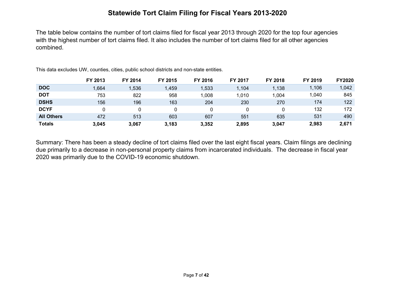## **Statewide Tort Claim Filing for Fiscal Years 2013-2020**

The table below contains the number of tort claims filed for fiscal year 2013 through 2020 for the top four agencies with the highest number of tort claims filed. It also includes the number of tort claims filed for all other agencies combined.

|                   | FY 2013 | FY 2014 | FY 2015 | FY 2016 | FY 2017 | FY 2018 | FY 2019 | <b>FY2020</b> |
|-------------------|---------|---------|---------|---------|---------|---------|---------|---------------|
| <b>DOC</b>        | 1,664   | 1,536   | ,459    | 1,533   | 1,104   | 1,138   | 1,106   | 1,042         |
| <b>DOT</b>        | 753     | 822     | 958     | 1,008   | 1,010   | 1,004   | 1,040   | 845           |
| <b>DSHS</b>       | 156     | 196     | 163     | 204     | 230     | 270     | 174     | 122           |
| <b>DCYF</b>       |         | 0       |         |         |         |         | 132     | 172           |
| <b>All Others</b> | 472     | 513     | 603     | 607     | 551     | 635     | 531     | 490           |
| <b>Totals</b>     | 3.045   | 3,067   | 3,183   | 3,352   | 2,895   | 3.047   | 2,983   | 2,671         |

This data excludes UW, counties, cities, public school districts and non-state entities.

Summary: There has been a steady decline of tort claims filed over the last eight fiscal years. Claim filings are declining due primarily to a decrease in non-personal property claims from incarcerated individuals. The decrease in fiscal year 2020 was primarily due to the COVID-19 economic shutdown.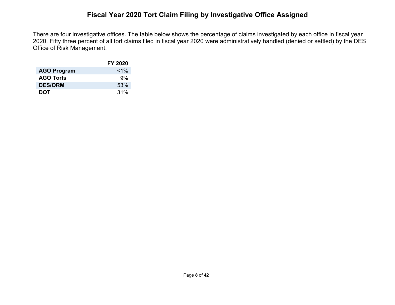## **Fiscal Year 2020 Tort Claim Filing by Investigative Office Assigned**

There are four investigative offices. The table below shows the percentage of claims investigated by each office in fiscal year 2020. Fifty three percent of all tort claims filed in fiscal year 2020 were administratively handled (denied or settled) by the DES Office of Risk Management.

|                    | FY 2020 |
|--------------------|---------|
| <b>AGO Program</b> | $1\%$   |
| <b>AGO Torts</b>   | 9%      |
| <b>DES/ORM</b>     | 53%     |
| <b>DOT</b>         | 31%     |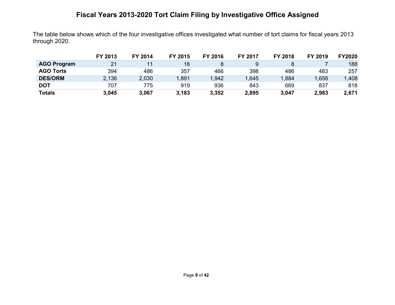# **Fiscal Years 2013-2020 Tort Claim Filing by Investigative Office Assigned**

The table below shows which of the four investigative offices investigated what number of tort claims for fiscal years 2013 through 2020.

|                    | FY 2013 | FY 2014 | FY 2015 | FY 2016 | <b>FY 2017</b> | FY 2018 | FY 2019 | <b>FY2020</b> |
|--------------------|---------|---------|---------|---------|----------------|---------|---------|---------------|
| <b>AGO Program</b> | 21      | 11      | 16      |         |                |         |         | 188           |
| <b>AGO Torts</b>   | 394     | 486     | 357     | 466     | 398            | 486     | 483     | 257           |
| <b>DES/ORM</b>     | 2,136   | 2,030   | .891    | ,942    | .645           | 1,884   | 1,656   | ,408          |
| <b>DOT</b>         | 707     | 775     | 919     | 936     | 843            | 669     | 837     | 818           |
| <b>Totals</b>      | 3,045   | 3,067   | 3,183   | 3,352   | 2,895          | 3,047   | 2,983   | 2,671         |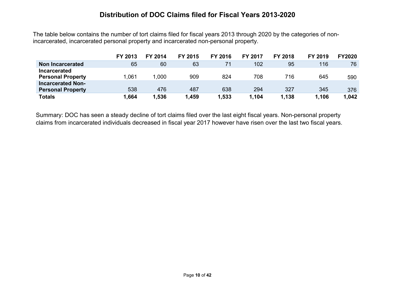#### **Distribution of DOC Claims filed for Fiscal Years 2013-2020**

The table below contains the number of tort claims filed for fiscal years 2013 through 2020 by the categories of nonincarcerated, incarcerated personal property and incarcerated non-personal property.

|                                                 | FY 2013 | FY 2014 | <b>FY 2015</b> | FY 2016 | <b>FY 2017</b> | <b>FY 2018</b> | FY 2019 | <b>FY2020</b> |
|-------------------------------------------------|---------|---------|----------------|---------|----------------|----------------|---------|---------------|
| Non Incarcerated                                | 65      | 60      | 63             | 71      | 102            | 95             | 116     | 76            |
| <b>Incarcerated</b><br><b>Personal Property</b> | .061    | 1,000   | 909            | 824     | 708            | 716            | 645     | 590           |
| <b>Incarcerated Non-</b>                        |         |         |                |         |                |                |         |               |
| <b>Personal Property</b>                        | 538     | 476     | 487            | 638     | 294            | 327            | 345     | 376           |
| <b>Totals</b>                                   | .664    | 1,536   | .459           | .533    | 1,104          | 1,138          | 1,106   | 1,042         |

Summary: DOC has seen a steady decline of tort claims filed over the last eight fiscal years. Non-personal property claims from incarcerated individuals decreased in fiscal year 2017 however have risen over the last two fiscal years.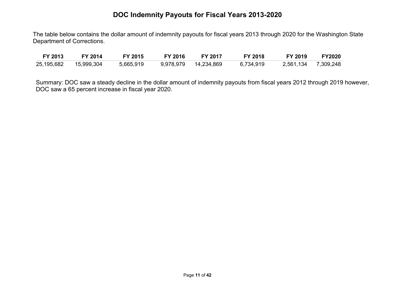## **DOC Indemnity Payouts for Fiscal Years 2013-2020**

The table below contains the dollar amount of indemnity payouts for fiscal years 2013 through 2020 for the Washington State Department of Corrections.

| FY 2013    | FY 2014    | FY 2015   | <b>FY 2016</b> | <b>FY 2017</b> | <b>FY 2018</b> | FY 2019   | <b>FY2020</b> |
|------------|------------|-----------|----------------|----------------|----------------|-----------|---------------|
| 25,195,682 | 15,999,304 | 5,665,919 | 9,978,979      | 14,234,869     | 6,734,919      | 2,561,134 | 7,309,248     |

Summary: DOC saw a steady decline in the dollar amount of indemnity payouts from fiscal years 2012 through 2019 however, DOC saw a 65 percent increase in fiscal year 2020.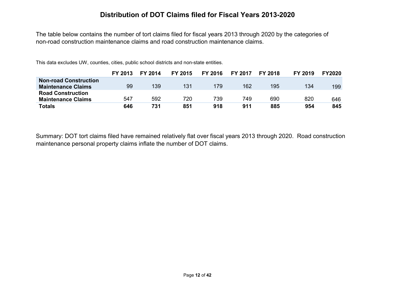#### **Distribution of DOT Claims filed for Fiscal Years 2013-2020**

The table below contains the number of tort claims filed for fiscal years 2013 through 2020 by the categories of non-road construction maintenance claims and road construction maintenance claims.

This data excludes UW, counties, cities, public school districts and non-state entities.

|                              | FY 2013 | FY 2014 | FY 2015 | FY 2016 | <b>FY 2017</b> | <b>FY 2018</b> | FY 2019 | <b>FY2020</b> |
|------------------------------|---------|---------|---------|---------|----------------|----------------|---------|---------------|
| <b>Non-road Construction</b> |         |         |         |         |                |                |         |               |
| <b>Maintenance Claims</b>    | 99      | 139     | 131     | 179     | 162            | 195            | 134     | 199           |
| <b>Road Construction</b>     |         |         |         |         |                |                |         |               |
| <b>Maintenance Claims</b>    | 547     | 592     | 720     | 739     | 749            | 690            | 820     | 646           |
| Totals                       | 646     | 731     | 851     | 918     | 911            | 885            | 954     | 845           |

Summary: DOT tort claims filed have remained relatively flat over fiscal years 2013 through 2020. Road construction maintenance personal property claims inflate the number of DOT claims.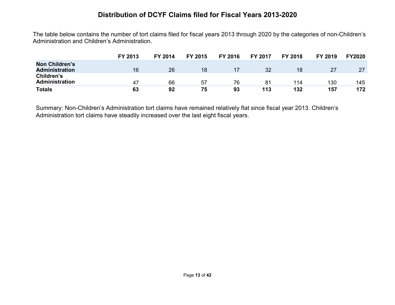#### **Distribution of DCYF Claims filed for Fiscal Years 2013-2020**

The table below contains the number of tort claims filed for fiscal years 2013 through 2020 by the categories of non-Children's Administration and Children's Administration.

|                                                | FY 2013 | FY 2014 | FY 2015 | FY 2016 | FY 2017 | <b>FY 2018</b> | FY 2019 | <b>FY2020</b> |
|------------------------------------------------|---------|---------|---------|---------|---------|----------------|---------|---------------|
| <b>Non Children's</b><br><b>Administration</b> | 16      | 26      | 18      |         | 32      | 18             |         | 27            |
| Children's<br>Administration                   | 47      | 66      | 57      | 76      | 81      | 114            | 130     | 145           |
| <b>Totals</b>                                  | 63      | 92      | 75      | 93      | 113     | 132            | 157     | 172           |

Summary: Non-Children's Administration tort claims have remained relatively flat since fiscal year 2013. Children's Administration tort claims have steadily increased over the last eight fiscal years.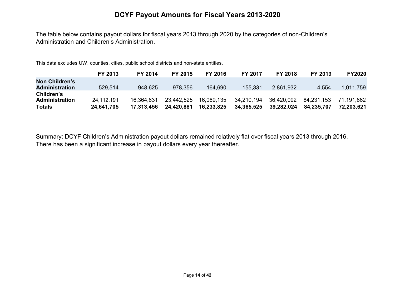#### **DCYF Payout Amounts for Fiscal Years 2013-2020**

The table below contains payout dollars for fiscal years 2013 through 2020 by the categories of non-Children's Administration and Children's Administration.

This data excludes UW, counties, cities, public school districts and non-state entities.

|                                         | FY 2013    | FY 2014    | <b>FY 2015</b> | <b>FY 2016</b> | <b>FY 2017</b> | <b>FY 2018</b> | FY 2019    | <b>FY2020</b> |
|-----------------------------------------|------------|------------|----------------|----------------|----------------|----------------|------------|---------------|
| Non Children's<br><b>Administration</b> | 529,514    | 948,625    | 978,356        | 164.690        | 155.331        | 2,861,932      | 4,554      | 1,011,759     |
| Children's<br>Administration            | 24,112,191 | 16.364.831 | 23,442,525     | 16.069.135     | 34.210.194     | 36,420,092     | 84.231.153 | 71.191.862    |
| <b>Totals</b>                           | 24,641,705 | 17,313,456 | 24,420,881     | 16,233,825     | 34,365,525     | 39,282,024     | 84,235,707 | 72.203.621    |

Summary: DCYF Children's Administration payout dollars remained relatively flat over fiscal years 2013 through 2016. There has been a significant increase in payout dollars every year thereafter.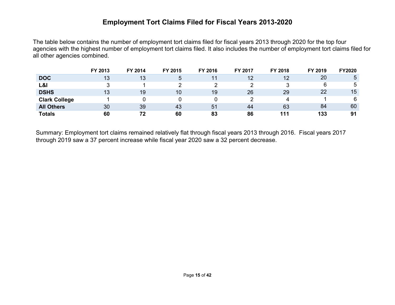#### **Employment Tort Claims Filed for Fiscal Years 2013-2020**

The table below contains the number of employment tort claims filed for fiscal years 2013 through 2020 for the top four agencies with the highest number of employment tort claims filed. It also includes the number of employment tort claims filed for all other agencies combined.

|                      | FY 2013 | FY 2014 | FY 2015 | FY 2016 | FY 2017 | FY 2018 | FY 2019 | <b>FY2020</b> |
|----------------------|---------|---------|---------|---------|---------|---------|---------|---------------|
| <b>DOC</b>           | 13      | 13      | ა       |         | 12      | 12      | 20      | ა             |
| L&I                  |         |         |         |         |         |         | 6       | <sub>5</sub>  |
| <b>DSHS</b>          | 13      | 19      | 10      | 19      | 26      | 29      | 22      | 15            |
| <b>Clark College</b> |         |         |         |         |         | 4       |         | 6             |
| <b>All Others</b>    | 30      | 39      | 43      | 51      | 44      | 63      | 84      | 60            |
| <b>Totals</b>        | 60      | 72      | 60      | 83      | 86      | 111     | 133     | 91            |

Summary: Employment tort claims remained relatively flat through fiscal years 2013 through 2016. Fiscal years 2017 through 2019 saw a 37 percent increase while fiscal year 2020 saw a 32 percent decrease.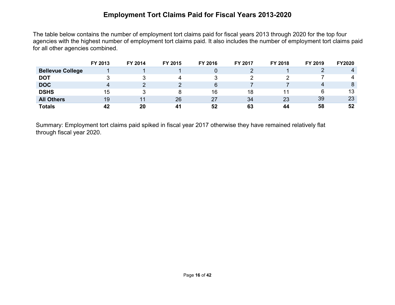## **Employment Tort Claims Paid for Fiscal Years 2013-2020**

The table below contains the number of employment tort claims paid for fiscal years 2013 through 2020 for the top four agencies with the highest number of employment tort claims paid. It also includes the number of employment tort claims paid for all other agencies combined.

|                         | FY 2013 | FY 2014 | FY 2015 | FY 2016 | FY 2017 | FY 2018 | FY 2019 | <b>FY2020</b> |
|-------------------------|---------|---------|---------|---------|---------|---------|---------|---------------|
| <b>Bellevue College</b> |         |         |         |         |         |         |         |               |
| <b>DOT</b>              |         |         |         |         |         |         |         | 4             |
| <b>DOC</b>              | 4       |         |         | 6       |         |         | 4       | 8             |
| <b>DSHS</b>             | 15      |         |         | 16      | 18      |         | 6       | 13            |
| <b>All Others</b>       | 19      | 44      | 26      | 27      | 34      | 23      | 39      | 23            |
| <b>Totals</b>           | 42      | 20      | -41     | 52      | 63      | 44      | 58      | 52            |

Summary: Employment tort claims paid spiked in fiscal year 2017 otherwise they have remained relatively flat through fiscal year 2020.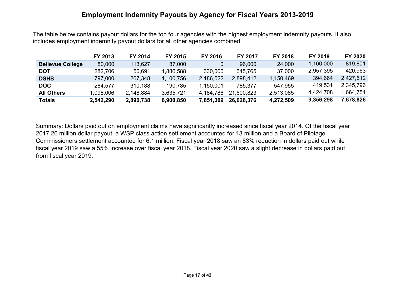#### **Employment Indemnity Payouts by Agency for Fiscal Years 2013-2019**

The table below contains payout dollars for the top four agencies with the highest employment indemnity payouts. It also includes employment indemnity payout dollars for all other agencies combined.

|                         | FY 2013   | FY 2014   | FY 2015   | FY 2016   | <b>FY 2017</b> | <b>FY 2018</b> | FY 2019   | FY 2020   |
|-------------------------|-----------|-----------|-----------|-----------|----------------|----------------|-----------|-----------|
| <b>Bellevue College</b> | 80,000    | 113,627   | 87,000    |           | 96,000         | 24,000         | 1,160,000 | 819,801   |
| <b>DOT</b>              | 282,706   | 50,691    | 1,886,588 | 330,000   | 645,765        | 37,000         | 2,957,395 | 420,963   |
| <b>DSHS</b>             | 797,000   | 267,348   | 1,100,756 | 2,186,522 | 2,898,412      | 1,150,469      | 394,664   | 2,427,512 |
| <b>DOC</b>              | 284.577   | 310,188   | 190,785   | 1,150,001 | 785,377        | 547,955        | 419,531   | 2,345,796 |
| <b>All Others</b>       | 098,006.  | 2,148,884 | 3,635,721 | 4,184,786 | 21,600,823     | 2,513,085      | 4,424,708 | 1,664,754 |
| Totals                  | 2,542,290 | 2,890,738 | 6,900,850 | 7,851,309 | 26,026,376     | 4,272,509      | 9,356,298 | 7,678,826 |

Summary: Dollars paid out on employment claims have significantly increased since fiscal year 2014. Of the fiscal year 2017 26 million dollar payout, a WSP class action settlement accounted for 13 million and a Board of Pilotage Commissioners settlement accounted for 6.1 million. Fiscal year 2018 saw an 83% reduction in dollars paid out while fiscal year 2019 saw a 55% increase over fiscal year 2018. Fiscal year 2020 saw a slight decrease in dollars paid out from fiscal year 2019.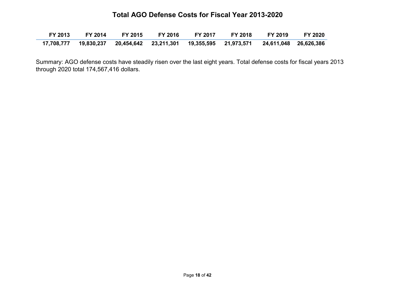#### **Total AGO Defense Costs for Fiscal Year 2013-2020**

| FY 2013 | FY 2014   FY 2015   FY 2016 |  | FY 2017 FY 2018 FY 2019                                                                        | <b>FY 2020</b> |
|---------|-----------------------------|--|------------------------------------------------------------------------------------------------|----------------|
|         |                             |  | 17,708,777  19,830,237  20,454,642  23,211,301  19,355,595  21,973,571  24,611,048  26,626,386 |                |

Summary: AGO defense costs have steadily risen over the last eight years. Total defense costs for fiscal years 2013 through 2020 total 174,567,416 dollars.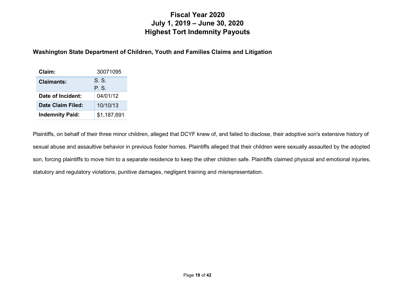## **Fiscal Year 2020 July 1, 2019 – June 30, 2020 Highest Tort Indemnity Payouts**

#### **Washington State Department of Children, Youth and Families Claims and Litigation**

| Claim:                 | 30071095    |
|------------------------|-------------|
| <b>Claimants:</b>      | S.S.        |
|                        | P. S.       |
| Date of Incident:      | 04/01/12    |
| Date Claim Filed:      | 10/10/13    |
| <b>Indemnity Paid:</b> | \$1,187,691 |

Plaintiffs, on behalf of their three minor children, alleged that DCYF knew of, and failed to disclose, their adoptive son's extensive history of sexual abuse and assaultive behavior in previous foster homes. Plaintiffs alleged that their children were sexually assaulted by the adopted son, forcing plaintiffs to move him to a separate residence to keep the other children safe. Plaintiffs claimed physical and emotional injuries, statutory and regulatory violations, punitive damages, negligent training and misrepresentation.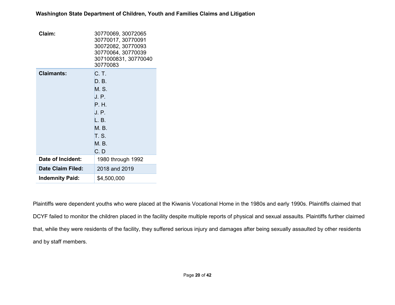| Claim:                   | 30770069, 30072065<br>30770017, 30770091<br>30072082, 30770093<br>30770064, 30770039<br>3071000831, 30770040<br>30770083 |  |
|--------------------------|--------------------------------------------------------------------------------------------------------------------------|--|
| <b>Claimants:</b>        | C. T.<br>D. B.<br>M. S.<br>J. P.<br>P. H.<br>J. P.<br>L. B.<br>M. B.<br>T. S.<br>M. B.<br>C. D                           |  |
| Date of Incident:        | 1980 through 1992                                                                                                        |  |
| <b>Date Claim Filed:</b> | 2018 and 2019                                                                                                            |  |
| <b>Indemnity Paid:</b>   | \$4,500,000                                                                                                              |  |

Plaintiffs were dependent youths who were placed at the Kiwanis Vocational Home in the 1980s and early 1990s. Plaintiffs claimed that DCYF failed to monitor the children placed in the facility despite multiple reports of physical and sexual assaults. Plaintiffs further claimed that, while they were residents of the facility, they suffered serious injury and damages after being sexually assaulted by other residents and by staff members.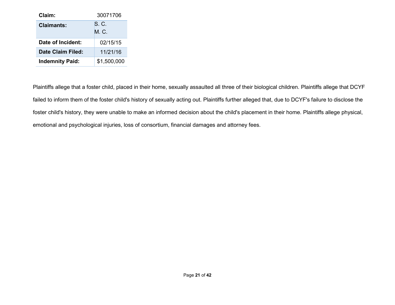| Claim:                 | 30071706     |
|------------------------|--------------|
| Claimants:             | S. C.<br>M C |
| Date of Incident:      | 02/15/15     |
| Date Claim Filed:      | 11/21/16     |
| <b>Indemnity Paid:</b> | \$1,500,000  |

Plaintiffs allege that a foster child, placed in their home, sexually assaulted all three of their biological children. Plaintiffs allege that DCYF failed to inform them of the foster child's history of sexually acting out. Plaintiffs further alleged that, due to DCYF's failure to disclose the foster child's history, they were unable to make an informed decision about the child's placement in their home. Plaintiffs allege physical, emotional and psychological injuries, loss of consortium, financial damages and attorney fees.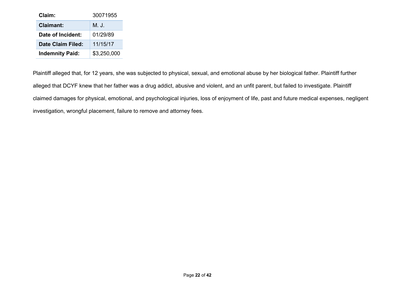| Claim:                 | 30071955    |
|------------------------|-------------|
| <b>Claimant:</b>       | NJ.         |
| Date of Incident:      | 01/29/89    |
| Date Claim Filed:      | 11/15/17    |
| <b>Indemnity Paid:</b> | \$3,250,000 |

Plaintiff alleged that, for 12 years, she was subjected to physical, sexual, and emotional abuse by her biological father. Plaintiff further alleged that DCYF knew that her father was a drug addict, abusive and violent, and an unfit parent, but failed to investigate. Plaintiff claimed damages for physical, emotional, and psychological injuries, loss of enjoyment of life, past and future medical expenses, negligent investigation, wrongful placement, failure to remove and attorney fees.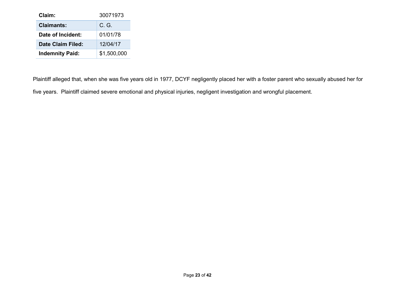| Claim:                 | 30071973       |
|------------------------|----------------|
| <b>Claimants:</b>      | $C_{\cdot}$ G. |
| Date of Incident:      | 01/01/78       |
| Date Claim Filed:      | 12/04/17       |
| <b>Indemnity Paid:</b> | \$1,500,000    |

Plaintiff alleged that, when she was five years old in 1977, DCYF negligently placed her with a foster parent who sexually abused her for five years. Plaintiff claimed severe emotional and physical injuries, negligent investigation and wrongful placement.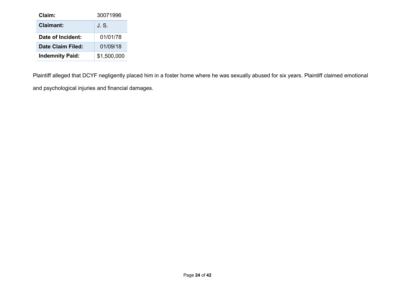| Claim:                 | 30071996    |
|------------------------|-------------|
| Claimant:              | .JS.        |
| Date of Incident:      | 01/01/78    |
| Date Claim Filed:      | 01/09/18    |
| <b>Indemnity Paid:</b> | \$1,500,000 |

Plaintiff alleged that DCYF negligently placed him in a foster home where he was sexually abused for six years. Plaintiff claimed emotional and psychological injuries and financial damages.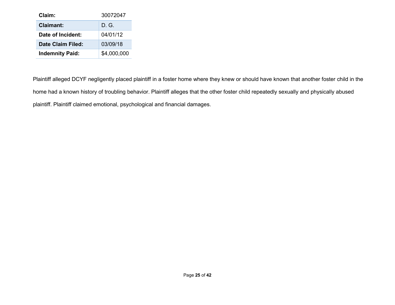| Claim:                 | 30072047    |
|------------------------|-------------|
| <b>Claimant:</b>       | D G.        |
| Date of Incident:      | 04/01/12    |
| Date Claim Filed:      | 03/09/18    |
| <b>Indemnity Paid:</b> | \$4,000,000 |

Plaintiff alleged DCYF negligently placed plaintiff in a foster home where they knew or should have known that another foster child in the home had a known history of troubling behavior. Plaintiff alleges that the other foster child repeatedly sexually and physically abused plaintiff. Plaintiff claimed emotional, psychological and financial damages.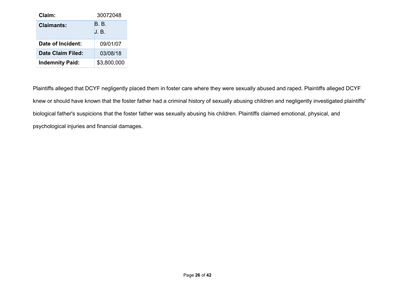| Claim:                 | 30072048     |
|------------------------|--------------|
| Claimants:             | B B<br>J. B. |
| Date of Incident:      | 09/01/07     |
| Date Claim Filed:      | 03/08/18     |
| <b>Indemnity Paid:</b> | \$3,800,000  |

Plaintiffs alleged that DCYF negligently placed them in foster care where they were sexually abused and raped. Plaintiffs alleged DCYF knew or should have known that the foster father had a criminal history of sexually abusing children and negligently investigated plaintiffs' biological father's suspicions that the foster father was sexually abusing his children. Plaintiffs claimed emotional, physical, and psychological injuries and financial damages.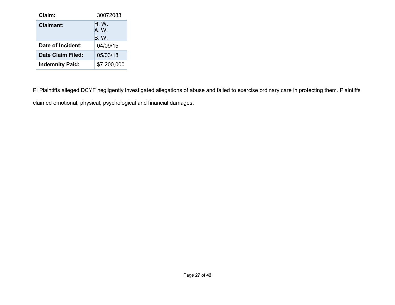| Claim:                 | 30072083                             |
|------------------------|--------------------------------------|
| Claimant:              | $H_{\cdot}$ W.<br>A W<br><b>B.W.</b> |
| Date of Incident:      | 04/09/15                             |
| Date Claim Filed:      | 05/03/18                             |
| <b>Indemnity Paid:</b> | \$7,200,000                          |

Pl Plaintiffs alleged DCYF negligently investigated allegations of abuse and failed to exercise ordinary care in protecting them. Plaintiffs claimed emotional, physical, psychological and financial damages.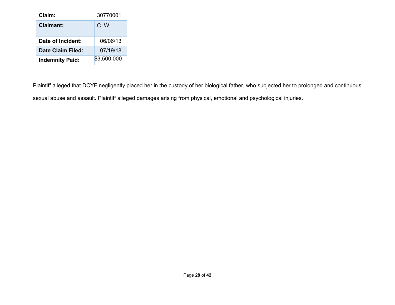| Claim:                 | 30770001    |
|------------------------|-------------|
| Claimant:              | C W         |
| Date of Incident:      | 06/06/13    |
| Date Claim Filed:      | 07/19/18    |
| <b>Indemnity Paid:</b> | \$3,500,000 |

Plaintiff alleged that DCYF negligently placed her in the custody of her biological father, who subjected her to prolonged and continuous sexual abuse and assault. Plaintiff alleged damages arising from physical, emotional and psychological injuries.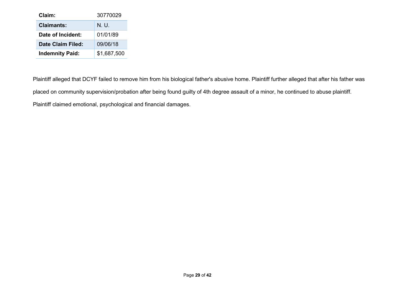| Claim:                 | 30770029    |
|------------------------|-------------|
| <b>Claimants:</b>      | NU.         |
| Date of Incident:      | 01/01/89    |
| Date Claim Filed:      | 09/06/18    |
| <b>Indemnity Paid:</b> | \$1,687,500 |

Plaintiff alleged that DCYF failed to remove him from his biological father's abusive home. Plaintiff further alleged that after his father was placed on community supervision/probation after being found guilty of 4th degree assault of a minor, he continued to abuse plaintiff. Plaintiff claimed emotional, psychological and financial damages.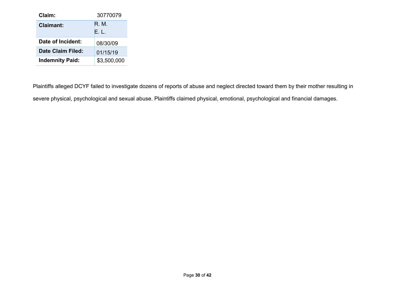| Claim:                 | 30770079    |
|------------------------|-------------|
| Claimant:              | R M         |
|                        | FI.         |
| Date of Incident:      | 08/30/09    |
| Date Claim Filed:      | 01/15/19    |
| <b>Indemnity Paid:</b> | \$3,500,000 |

Plaintiffs alleged DCYF failed to investigate dozens of reports of abuse and neglect directed toward them by their mother resulting in severe physical, psychological and sexual abuse. Plaintiffs claimed physical, emotional, psychological and financial damages.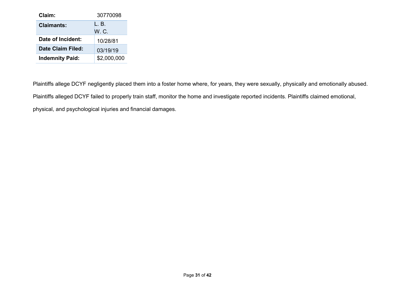| Claim:                 | 30770098    |
|------------------------|-------------|
| <b>Claimants:</b>      | IB.         |
|                        | WC.         |
| Date of Incident:      | 10/28/81    |
| Date Claim Filed:      | 03/19/19    |
| <b>Indemnity Paid:</b> | \$2,000,000 |

Plaintiffs allege DCYF negligently placed them into a foster home where, for years, they were sexually, physically and emotionally abused. Plaintiffs alleged DCYF failed to properly train staff, monitor the home and investigate reported incidents. Plaintiffs claimed emotional, physical, and psychological injuries and financial damages.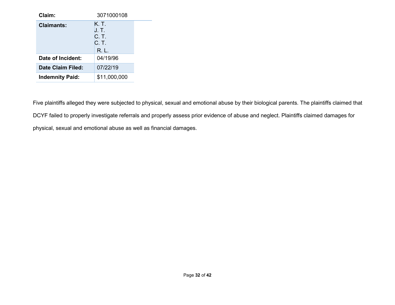| Claim:                 | 3071000108                                |
|------------------------|-------------------------------------------|
| Claimants:             | K. T.<br>J. T.<br>C. T.<br>C. T.<br>R. L. |
| Date of Incident:      | 04/19/96                                  |
| Date Claim Filed:      | 07/22/19                                  |
| <b>Indemnity Paid:</b> | \$11,000,000                              |

Five plaintiffs alleged they were subjected to physical, sexual and emotional abuse by their biological parents. The plaintiffs claimed that DCYF failed to properly investigate referrals and properly assess prior evidence of abuse and neglect. Plaintiffs claimed damages for physical, sexual and emotional abuse as well as financial damages.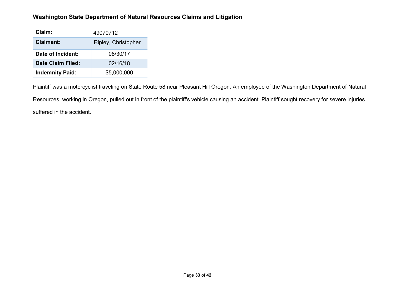#### **Washington State Department of Natural Resources Claims and Litigation**

| Claim:                 | 49070712            |
|------------------------|---------------------|
| <b>Claimant:</b>       | Ripley, Christopher |
| Date of Incident:      | 08/30/17            |
| Date Claim Filed:      | 02/16/18            |
| <b>Indemnity Paid:</b> | \$5,000,000         |

Plaintiff was a motorcyclist traveling on State Route 58 near Pleasant Hill Oregon. An employee of the Washington Department of Natural Resources, working in Oregon, pulled out in front of the plaintiff's vehicle causing an accident. Plaintiff sought recovery for severe injuries suffered in the accident.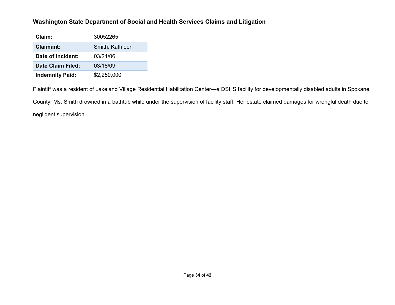#### **Washington State Department of Social and Health Services Claims and Litigation**

| Claim:                 | 30052265        |
|------------------------|-----------------|
| <b>Claimant:</b>       | Smith, Kathleen |
| Date of Incident:      | 03/21/06        |
| Date Claim Filed:      | 03/18/09        |
| <b>Indemnity Paid:</b> | \$2,250,000     |

Plaintiff was a resident of Lakeland Village Residential Habilitation Center—a DSHS facility for developmentally disabled adults in Spokane County. Ms. Smith drowned in a bathtub while under the supervision of facility staff. Her estate claimed damages for wrongful death due to negligent supervision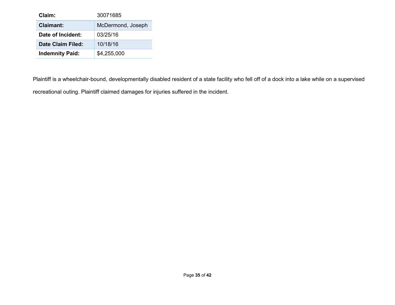| Claim:                 | 30071685          |
|------------------------|-------------------|
| Claimant:              | McDermond, Joseph |
| Date of Incident:      | 03/25/16          |
| Date Claim Filed:      | 10/18/16          |
| <b>Indemnity Paid:</b> | \$4,255,000       |

Plaintiff is a wheelchair-bound, developmentally disabled resident of a state facility who fell off of a dock into a lake while on a supervised recreational outing. Plaintiff claimed damages for injuries suffered in the incident.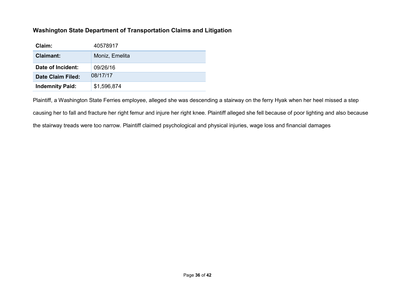#### **Washington State Department of Transportation Claims and Litigation**

| Claim:                 | 40578917       |
|------------------------|----------------|
| <b>Claimant:</b>       | Moniz, Emelita |
| Date of Incident:      | 09/26/16       |
| Date Claim Filed:      | 08/17/17       |
| <b>Indemnity Paid:</b> | \$1,596,874    |

Plaintiff, a Washington State Ferries employee, alleged she was descending a stairway on the ferry Hyak when her heel missed a step causing her to fall and fracture her right femur and injure her right knee. Plaintiff alleged she fell because of poor lighting and also because the stairway treads were too narrow. Plaintiff claimed psychological and physical injuries, wage loss and financial damages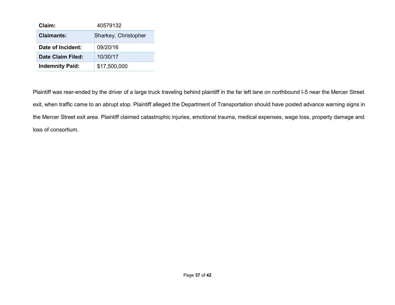| Claim:                   | 40579132             |
|--------------------------|----------------------|
| <b>Claimants:</b>        | Sharkey, Christopher |
| Date of Incident:        | 09/20/16             |
| <b>Date Claim Filed:</b> | 10/30/17             |
| <b>Indemnity Paid:</b>   | \$17,500,000         |

Plaintiff was rear-ended by the driver of a large truck traveling behind plaintiff in the far left lane on northbound I-5 near the Mercer Street exit, when traffic came to an abrupt stop. Plaintiff alleged the Department of Transportation should have posted advance warning signs in the Mercer Street exit area. Plaintiff claimed catastrophic injuries, emotional trauma, medical expenses, wage loss, property damage and loss of consortium.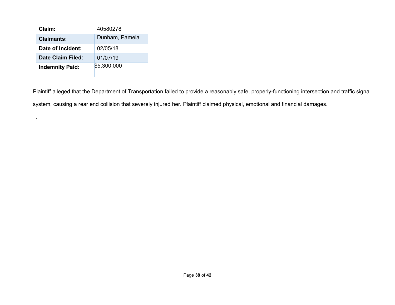| Claim:                 | 40580278       |
|------------------------|----------------|
| <b>Claimants:</b>      | Dunham, Pamela |
| Date of Incident:      | 02/05/18       |
| Date Claim Filed:      | 01/07/19       |
| <b>Indemnity Paid:</b> | \$5,300,000    |

.

Plaintiff alleged that the Department of Transportation failed to provide a reasonably safe, properly-functioning intersection and traffic signal system, causing a rear end collision that severely injured her. Plaintiff claimed physical, emotional and financial damages.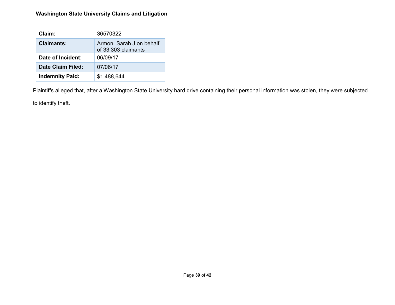#### **Washington State University Claims and Litigation**

| Claim:                 | 36570322                                        |
|------------------------|-------------------------------------------------|
| Claimants:             | Armon, Sarah J on behalf<br>of 33,303 claimants |
| Date of Incident:      | 06/09/17                                        |
| Date Claim Filed:      | 07/06/17                                        |
| <b>Indemnity Paid:</b> | \$1,488,644                                     |

Plaintiffs alleged that, after a Washington State University hard drive containing their personal information was stolen, they were subjected

to identify theft.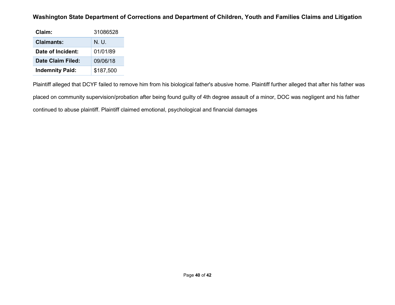#### **Washington State Department of Corrections and Department of Children, Youth and Families Claims and Litigation**

| Claim:                 | 31086528  |
|------------------------|-----------|
| <b>Claimants:</b>      | NU        |
| Date of Incident:      | 01/01/89  |
| Date Claim Filed:      | 09/06/18  |
| <b>Indemnity Paid:</b> | \$187,500 |

Plaintiff alleged that DCYF failed to remove him from his biological father's abusive home. Plaintiff further alleged that after his father was placed on community supervision/probation after being found guilty of 4th degree assault of a minor, DOC was negligent and his father continued to abuse plaintiff. Plaintiff claimed emotional, psychological and financial damages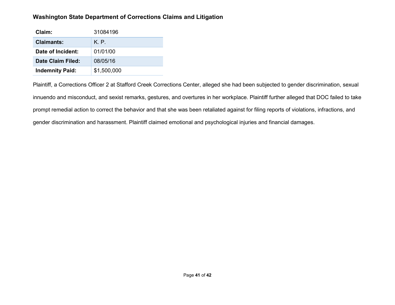#### **Washington State Department of Corrections Claims and Litigation**

| Claim:                 | 31084196    |
|------------------------|-------------|
| Claimants:             | K P         |
| Date of Incident:      | 01/01/00    |
| Date Claim Filed:      | 08/05/16    |
| <b>Indemnity Paid:</b> | \$1,500,000 |

Plaintiff, a Corrections Officer 2 at Stafford Creek Corrections Center, alleged she had been subjected to gender discrimination, sexual innuendo and misconduct, and sexist remarks, gestures, and overtures in her workplace. Plaintiff further alleged that DOC failed to take prompt remedial action to correct the behavior and that she was been retaliated against for filing reports of violations, infractions, and gender discrimination and harassment. Plaintiff claimed emotional and psychological injuries and financial damages.